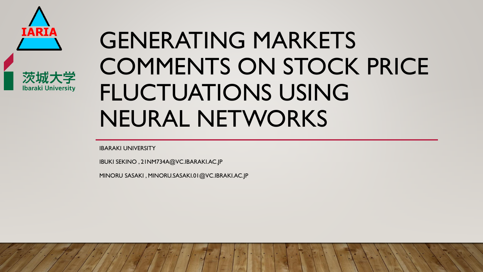

Ibaraki Universitv

# GENERATING MARKETS COMMENTS ON STOCK PRICE FLUCTUATIONS USING NEURAL NETWORKS

IBARAKI UNIVERSITY

IBUKI SEKINO , 21NM734A@VC.IBARAKI.AC.JP

MINORU SASAKI , MINORU.SASAKI.01@VC.IBRAKI.AC.JP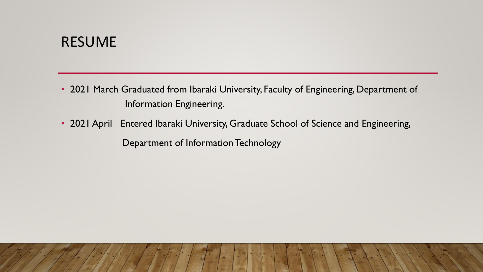### RESUME

- 2021 March Graduated from Ibaraki University, Faculty of Engineering, Department of Information Engineering.
- 2021 April Entered Ibaraki University, Graduate School of Science and Engineering,

Department of Information Technology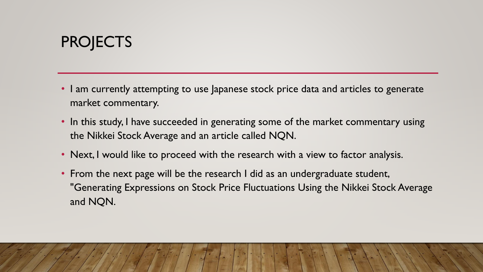# PROJECTS

- I am currently attempting to use Japanese stock price data and articles to generate market commentary.
- In this study, I have succeeded in generating some of the market commentary using the Nikkei Stock Average and an article called NQN.
- Next, I would like to proceed with the research with a view to factor analysis.
- From the next page will be the research I did as an undergraduate student, "Generating Expressions on Stock Price Fluctuations Using the Nikkei Stock Average and NQN.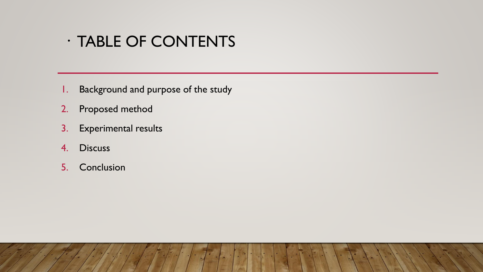# ・TABLE OF CONTENTS

- 1. Background and purpose of the study
- 2. Proposed method
- 3. Experimental results
- 4. Discuss
- 5. Conclusion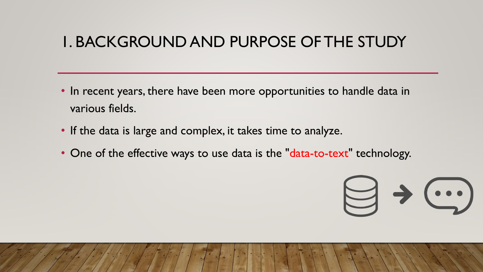# 1. BACKGROUND AND PURPOSE OF THE STUDY

- In recent years, there have been more opportunities to handle data in various fields.
- If the data is large and complex, it takes time to analyze.
- One of the effective ways to use data is the "data-to-text" technology.

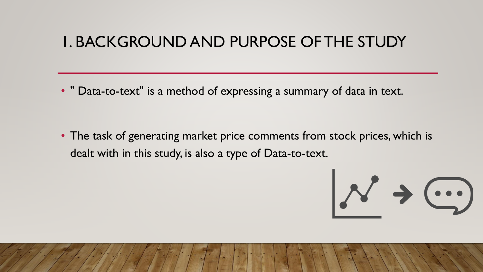### 1. BACKGROUND AND PURPOSE OF THE STUDY

• " Data-to-text" is a method of expressing a summary of data in text.

• The task of generating market price comments from stock prices, which is dealt with in this study, is also a type of Data-to-text.

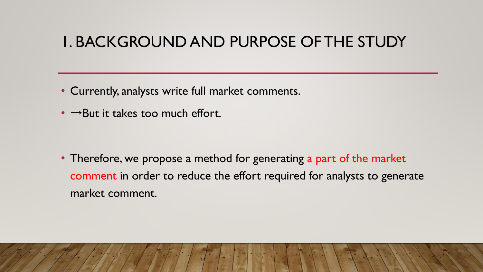# 1. BACKGROUND AND PURPOSE OF THE STUDY

- Currently, analysts write full market comments.
- $\bullet \rightarrow$ But it takes too much effort.

• Therefore, we propose a method for generating a part of the market comment in order to reduce the effort required for analysts to generate market comment.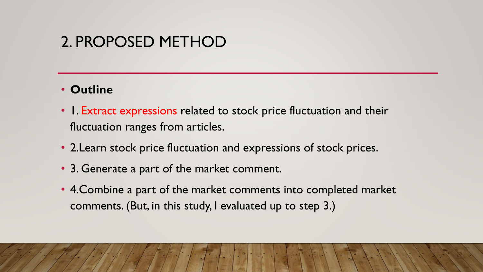### • **Outline**

- I. Extract expressions related to stock price fluctuation and their fluctuation ranges from articles.
- 2.Learn stock price fluctuation and expressions of stock prices.
- 3. Generate a part of the market comment.
- 4.Combine a part of the market comments into completed market comments. (But, in this study, I evaluated up to step 3.)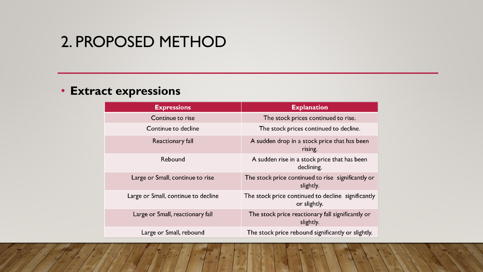### • **Extract expressions**

| <b>Expressions</b>                  | <b>Explanation</b>                                                 |
|-------------------------------------|--------------------------------------------------------------------|
| Continue to rise                    | The stock prices continued to rise.                                |
| Continue to decline                 | The stock prices continued to decline.                             |
| Reactionary fall                    | A sudden drop in a stock price that has been<br>rising.            |
| Rebound                             | A sudden rise in a stock price that has been<br>declining.         |
| Large or Small, continue to rise    | The stock price continued to rise significantly or<br>slightly.    |
| Large or Small, continue to decline | The stock price continued to decline significantly<br>or slightly. |
| Large or Small, reactionary fall    | The stock price reactionary fall significantly or<br>slightly.     |
| Large or Small, rebound             | The stock price rebound significantly or slightly.                 |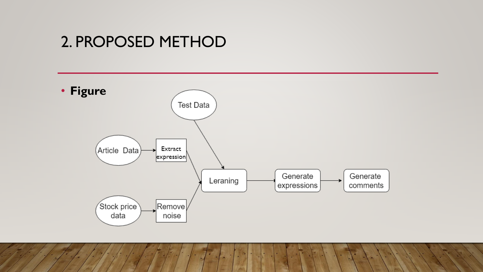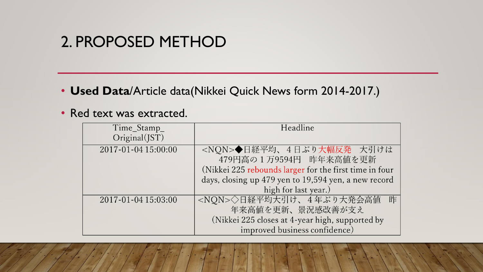• **Used Data**/Article data(Nikkei Quick News form 2014-2017.)

#### • Red text was extracted.

| Time_Stamp_         | Headline                                                                                                                                       |  |
|---------------------|------------------------------------------------------------------------------------------------------------------------------------------------|--|
| Original (JST)      |                                                                                                                                                |  |
| 2017-01-04 15:00:00 | <nqn>◆日経平均、4日ぶり大幅反発 大引けは<br/>479円高の1万9594円 昨年来高値を更新<br/>(Nikkei 225 rebounds larger for the first time in four</nqn>                           |  |
|                     | days, closing up 479 yen to 19,594 yen, a new record<br>high for last year.)                                                                   |  |
| 2017-01-04 15:03:00 | <nqn>◇日経平均大引け、4年ぶり大発会高値<br/>昨<br/>年来高値を更新、景況感改善が支え<br/>(Nikkei 225 closes at 4-year high, supported by<br/>improved business confidence)</nqn> |  |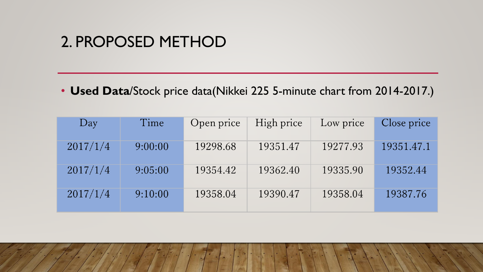• **Used Data**/Stock price data(Nikkei 225 5-minute chart from 2014-2017.)

| Day      | Time    | Open price | High price | Low price | Close price |
|----------|---------|------------|------------|-----------|-------------|
| 2017/1/4 | 9:00:00 | 19298.68   | 19351.47   | 19277.93  | 19351.47.1  |
| 2017/1/4 | 9:05:00 | 19354.42   | 19362.40   | 19335.90  | 19352.44    |
| 2017/1/4 | 9:10:00 | 19358.04   | 19390.47   | 19358.04  | 19387.76    |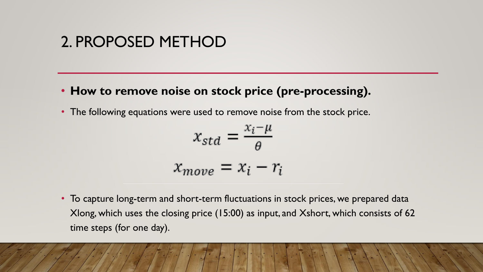- **How to remove noise on stock price (pre-processing).**
- The following equations were used to remove noise from the stock price.

$$
x_{std} = \frac{x_i - \mu}{\theta}
$$

$$
x_{move} = x_i - r_i
$$

• To capture long-term and short-term fluctuations in stock prices, we prepared data Xlong, which uses the closing price (15:00) as input, and Xshort, which consists of 62 time steps (for one day).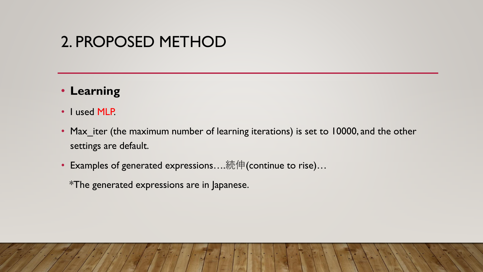#### • **Learning**

- I used MLP.
- Max\_iter (the maximum number of learning iterations) is set to 10000, and the other settings are default.
- Examples of generated expressions….続伸(continue to rise)…
	- \*The generated expressions are in Japanese.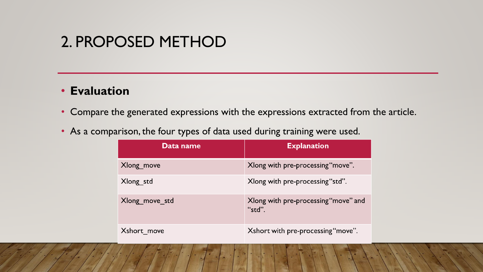#### • **Evaluation**

- Compare the generated expressions with the expressions extracted from the article.
- As a comparison, the four types of data used during training were used.

| Data name      | <b>Explanation</b>                             |
|----------------|------------------------------------------------|
| Xlong move     | Xlong with pre-processing "move".              |
| Xlong std      | Xlong with pre-processing "std".               |
| Xlong move_std | Xlong with pre-processing "move" and<br>"std". |
| Xshort move    | Xshort with pre-processing "move".             |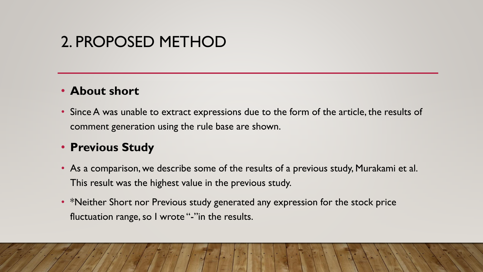#### • **About short**

• Since A was unable to extract expressions due to the form of the article, the results of comment generation using the rule base are shown.

#### • **Previous Study**

- As a comparison, we describe some of the results of a previous study, Murakami et al. This result was the highest value in the previous study.
- \*Neither Short nor Previous study generated any expression for the stock price fluctuation range, so I wrote "-"in the results.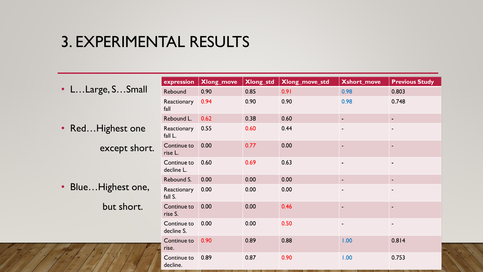### 3. EXPERIMENTAL RESULTS

|                     | expression                | Xlong_move | Xlong_std | Xlong_move_std | <b>Xshort_move</b> | <b>Previous Study</b>    |
|---------------------|---------------------------|------------|-----------|----------------|--------------------|--------------------------|
| • LLarge, SSmall    | Rebound                   | 0.90       | 0.85      | 0.91           | 0.98               | 0.803                    |
|                     | Reactionary<br>fall       | 0.94       | 0.90      | 0.90           | 0.98               | 0.748                    |
|                     | Rebound L.                | 0.62       | 0.38      | 0.60           | $\blacksquare$     | $\blacksquare$           |
| • RedHighest one    | Reactionary<br>fall L.    | 0.55       | 0.60      | 0.44           |                    | $\blacksquare$           |
| except short.       | Continue to<br>rise L.    | 0.00       | 0.77      | 0.00           |                    | $\blacksquare$           |
|                     | Continue to<br>decline L. | 0.60       | 0.69      | 0.63           |                    | $\blacksquare$           |
|                     | Rebound S.                | 0.00       | 0.00      | 0.00           | $\blacksquare$     | $\blacksquare$           |
| • Blue Highest one, | Reactionary<br>fall S.    | 0.00       | 0.00      | 0.00           | $\blacksquare$     | $\overline{\phantom{a}}$ |
| but short.          | Continue to<br>rise S.    | 0.00       | 0.00      | 0.46           | $\blacksquare$     | $\blacksquare$           |
|                     | Continue to<br>decline S. | 0.00       | 0.00      | 0.50           |                    | $\overline{\phantom{a}}$ |
|                     | Continue to<br>rise.      | 0.90       | 0.89      | 0.88           | 1.00               | 0.814                    |
|                     | Continue to               | 0.89       | 0.87      | 0.90           | 1.00               | 0.753                    |

decline.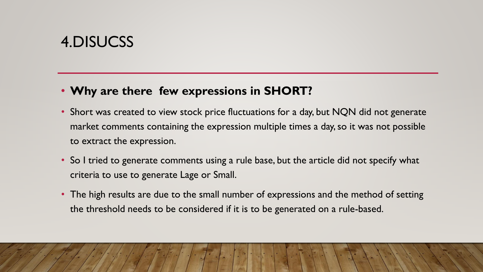### 4.DISUCSS

#### • **Why are there few expressions in SHORT?**

- Short was created to view stock price fluctuations for a day, but NQN did not generate market comments containing the expression multiple times a day, so it was not possible to extract the expression.
- So I tried to generate comments using a rule base, but the article did not specify what criteria to use to generate Lage or Small.
- The high results are due to the small number of expressions and the method of setting the threshold needs to be considered if it is to be generated on a rule-based.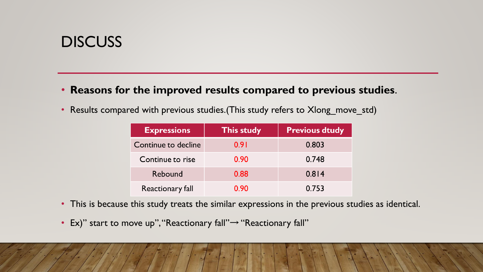### **DISCUSS**

- **Reasons for the improved results compared to previous studies**.
- Results compared with previous studies.(This study refers to Xlong\_move\_std)

| <b>Expressions</b>  | <b>This study</b> | <b>Previous dtudy</b> |
|---------------------|-------------------|-----------------------|
| Continue to decline | 0.91              | 0.803                 |
| Continue to rise    | 0.90              | 0.748                 |
| Rebound             | 0.88              | 0.814                 |
| Reactionary fall    | 0.90              | 0.753                 |

- This is because this study treats the similar expressions in the previous studies as identical.
- Ex)" start to move up", "Reactionary fall"→ "Reactionary fall"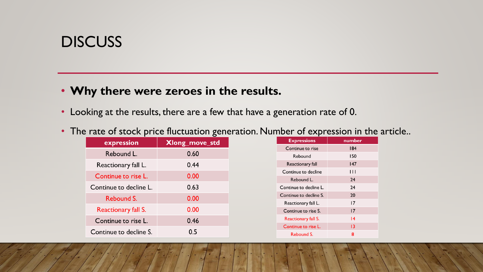### **DISCUSS**

#### • **Why there were zeroes in the results.**

- Looking at the results, there are a few that have a generation rate of 0.
- The rate of stock price fluctuation generation. Number of expression in the article..

| expression             | Xlong_move_std |
|------------------------|----------------|
| Rebound L.             | 0.60           |
| Reactionary fall L.    | 0.44           |
| Continue to rise L.    | 0.00           |
| Continue to decline L. | 0.63           |
| Rebound S.             | 0.00           |
| Reactionary fall S.    | 0.00           |
| Continue to rise L.    | 0.46           |
| Continue to decline S. | 0.5            |

| <b>Expressions</b>     | number |
|------------------------|--------|
| Continue to rise       | 184    |
| Rebound                | 150    |
| Reactionary fall       | 147    |
| Continue to decline    | Ш      |
| Rebound L.             | 24     |
| Continue to decline L. | 24     |
| Continue to decline S. | 20     |
| Reactionary fall L.    | 17     |
| Continue to rise S.    | 17     |
| Reactionary fall S.    | 14     |
| Continue to rise L.    | 13     |
| Rebound S.             | 8      |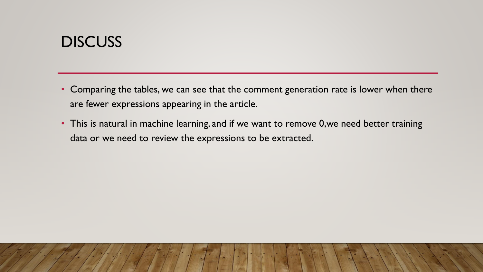### **DISCUSS**

- Comparing the tables, we can see that the comment generation rate is lower when there are fewer expressions appearing in the article.
- This is natural in machine learning, and if we want to remove 0, we need better training data or we need to review the expressions to be extracted.